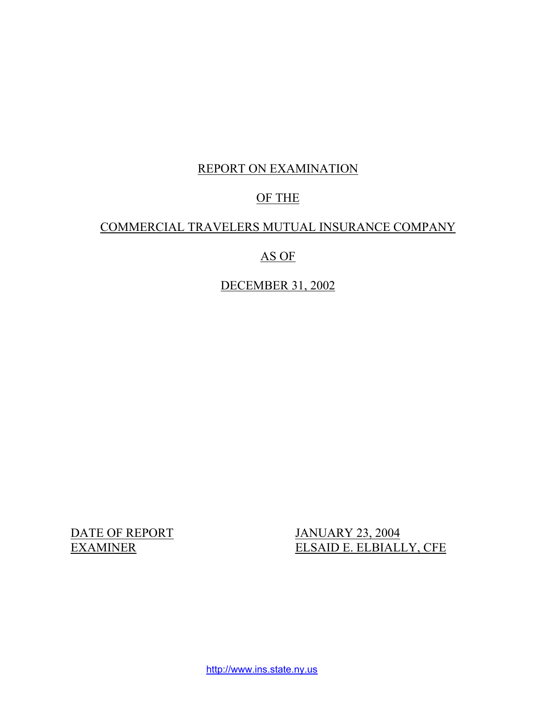# REPORT ON EXAMINATION

# OF THE

# COMMERCIAL TRAVELERS MUTUAL INSURANCE COMPANY

# AS OF

DECEMBER 31, 2002

DATE OF REPORT JANUARY 23, 2004 EXAMINER ELSAID E. ELBIALLY, CFE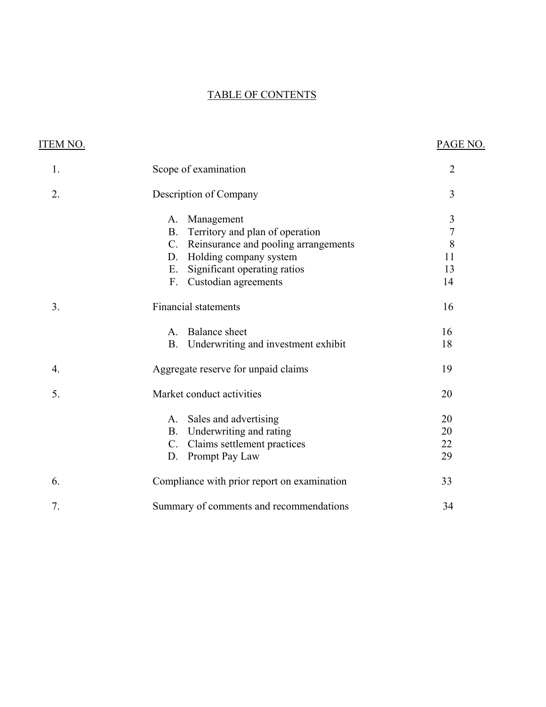# TABLE OF CONTENTS

| ITEM NO. |                                                  | PAGE NO.       |
|----------|--------------------------------------------------|----------------|
| 1.       | Scope of examination                             | $\overline{2}$ |
| 2.       | Description of Company                           | 3              |
|          | Management<br>A.                                 | $\mathfrak{Z}$ |
|          | Territory and plan of operation<br><b>B.</b>     | $\overline{7}$ |
|          | C. Reinsurance and pooling arrangements          | 8              |
|          | Holding company system<br>D.                     | 11             |
|          | Significant operating ratios<br>E.               | 13             |
|          | F.<br>Custodian agreements                       | 14             |
| 3.       | <b>Financial statements</b>                      | 16             |
|          | <b>Balance</b> sheet<br>A.                       | 16             |
|          | Underwriting and investment exhibit<br><b>B.</b> | 18             |
| 4.       | Aggregate reserve for unpaid claims              | 19             |
| 5.       | Market conduct activities                        | 20             |
|          | Sales and advertising<br>A.                      | 20             |
|          | Underwriting and rating<br><b>B.</b>             | 20             |
|          | Claims settlement practices<br>$C_{\cdot}$       | 22             |
|          | Prompt Pay Law<br>D.                             | 29             |
| 6.       | Compliance with prior report on examination      | 33             |
| 7.       | Summary of comments and recommendations          | 34             |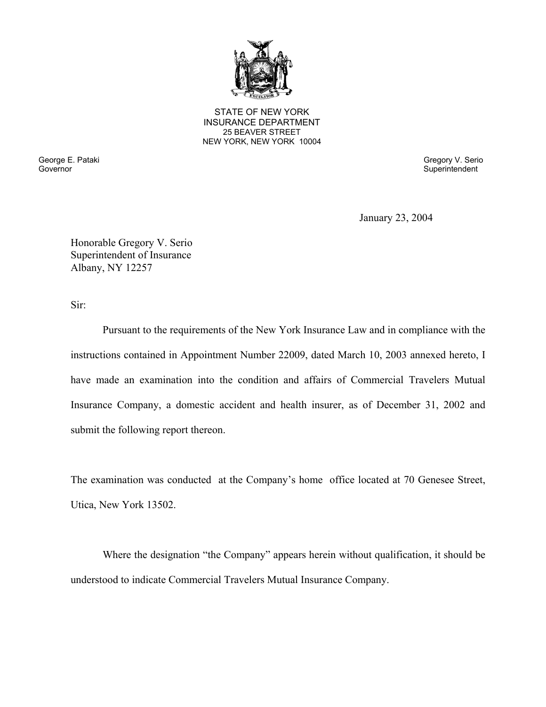

25 BEAVER STREET STATE OF NEW YORK INSURANCE DEPARTMENT NEW YORK, NEW YORK 10004

Governor Superintendent Superintendent Superintendent Superintendent Superintendent Superintendent Superintendent

George E. Pataki Gregory V. Serio

January 23, 2004

Honorable Gregory V. Serio Superintendent of Insurance Albany, NY 12257

Sir:

Pursuant to the requirements of the New York Insurance Law and in compliance with the instructions contained in Appointment Number 22009, dated March 10, 2003 annexed hereto, I have made an examination into the condition and affairs of Commercial Travelers Mutual Insurance Company, a domestic accident and health insurer, as of December 31, 2002 and submit the following report thereon.

The examination was conducted at the Company's home office located at 70 Genesee Street, Utica, New York 13502.

Where the designation "the Company" appears herein without qualification, it should be understood to indicate Commercial Travelers Mutual Insurance Company.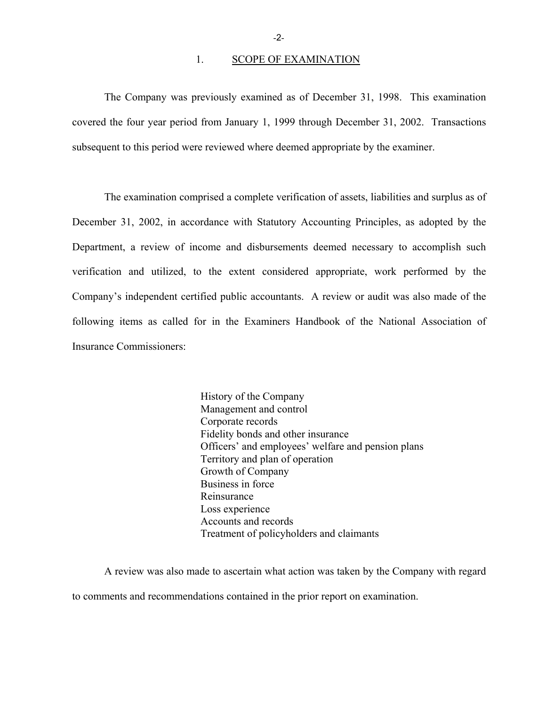#### 1. SCOPE OF EXAMINATION

The Company was previously examined as of December 31, 1998. This examination covered the four year period from January 1, 1999 through December 31, 2002. Transactions subsequent to this period were reviewed where deemed appropriate by the examiner.

The examination comprised a complete verification of assets, liabilities and surplus as of December 31, 2002, in accordance with Statutory Accounting Principles, as adopted by the Department, a review of income and disbursements deemed necessary to accomplish such verification and utilized, to the extent considered appropriate, work performed by the Company's independent certified public accountants. A review or audit was also made of the following items as called for in the Examiners Handbook of the National Association of Insurance Commissioners:

> History of the Company Management and control Corporate records Fidelity bonds and other insurance Officers' and employees' welfare and pension plans Territory and plan of operation Growth of Company Business in force Reinsurance Loss experience Accounts and records Treatment of policyholders and claimants

A review was also made to ascertain what action was taken by the Company with regard to comments and recommendations contained in the prior report on examination.

-2-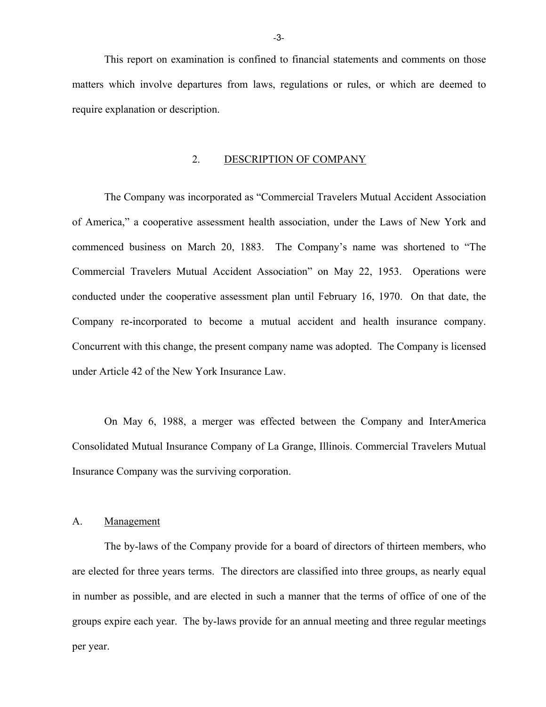This report on examination is confined to financial statements and comments on those matters which involve departures from laws, regulations or rules, or which are deemed to require explanation or description.

#### 2. DESCRIPTION OF COMPANY

The Company was incorporated as "Commercial Travelers Mutual Accident Association of America," a cooperative assessment health association, under the Laws of New York and commenced business on March 20, 1883. The Company's name was shortened to "The Commercial Travelers Mutual Accident Association" on May 22, 1953. Operations were conducted under the cooperative assessment plan until February 16, 1970. On that date, the Company re-incorporated to become a mutual accident and health insurance company. Concurrent with this change, the present company name was adopted. The Company is licensed under Article 42 of the New York Insurance Law.

On May 6, 1988, a merger was effected between the Company and InterAmerica Consolidated Mutual Insurance Company of La Grange, Illinois. Commercial Travelers Mutual Insurance Company was the surviving corporation.

#### A. Management

The by-laws of the Company provide for a board of directors of thirteen members, who are elected for three years terms. The directors are classified into three groups, as nearly equal in number as possible, and are elected in such a manner that the terms of office of one of the groups expire each year. The by-laws provide for an annual meeting and three regular meetings per year.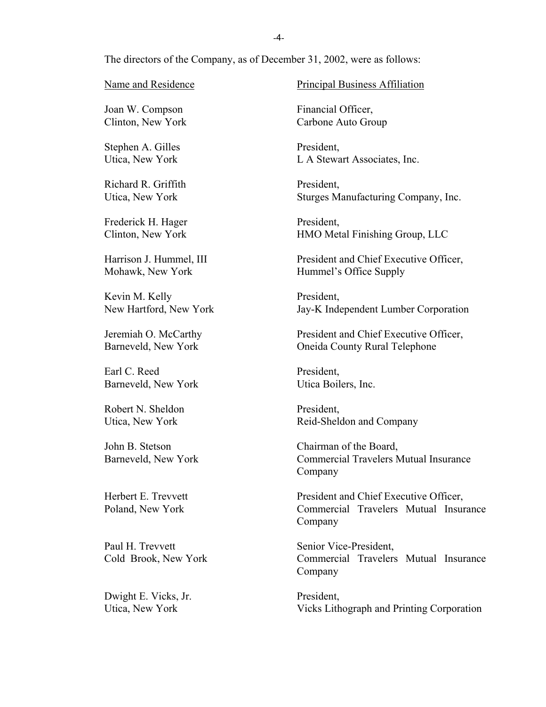The directors of the Company, as of December 31, 2002, were as follows:

Joan W. Compson Financial Officer,

Stephen A. Gilles President,

Richard R. Griffith President,

Frederick H. Hager President,

Kevin M. Kelly President,

Barneveld, New York

Barneveld, New York Utica Boilers, Inc. Earl C. Reed President.

Robert N. Sheldon President.

Dwight E. Vicks, Jr. President,

Name and Residence Principal Business Affiliation

Clinton, New York Carbone Auto Group

Utica, New York L A Stewart Associates, Inc.

Utica, New York Sturges Manufacturing Company, Inc.

Clinton, New York HMO Metal Finishing Group, LLC

Harrison J. Hummel, III President and Chief Executive Officer, Mohawk, New York Hummel's Office Supply

New Hartford, New York Jay-K Independent Lumber Corporation

Jeremiah O. McCarthy President and Chief Executive Officer, **Oneida County Rural Telephone** 

Utica, New York Reid-Sheldon and Company

John B. Stetson Chairman of the Board, Barneveld, New York Commercial Travelers Mutual Insurance Company

Herbert E. Trevvett President and Chief Executive Officer, Poland, New York Commercial Travelers Mutual Insurance Company

Paul H. Trevvett Senior Vice-President, Cold Brook, New York Commercial Travelers Mutual Insurance Company

Utica, New York Vicks Lithograph and Printing Corporation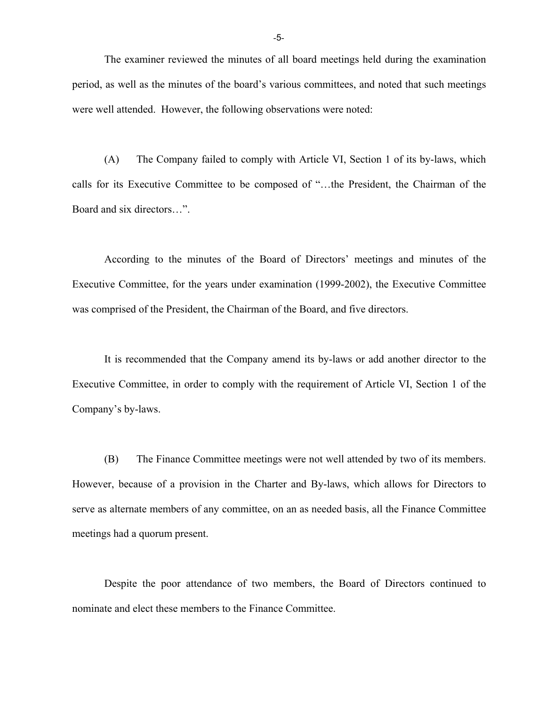The examiner reviewed the minutes of all board meetings held during the examination period, as well as the minutes of the board's various committees, and noted that such meetings were well attended. However, the following observations were noted:

(A) The Company failed to comply with Article VI, Section 1 of its by-laws, which calls for its Executive Committee to be composed of "…the President, the Chairman of the Board and six directors…".

According to the minutes of the Board of Directors' meetings and minutes of the Executive Committee, for the years under examination (1999-2002), the Executive Committee was comprised of the President, the Chairman of the Board, and five directors.

It is recommended that the Company amend its by-laws or add another director to the Executive Committee, in order to comply with the requirement of Article VI, Section 1 of the Company's by-laws.

(B) The Finance Committee meetings were not well attended by two of its members. However, because of a provision in the Charter and By-laws, which allows for Directors to serve as alternate members of any committee, on an as needed basis, all the Finance Committee meetings had a quorum present.

Despite the poor attendance of two members, the Board of Directors continued to nominate and elect these members to the Finance Committee.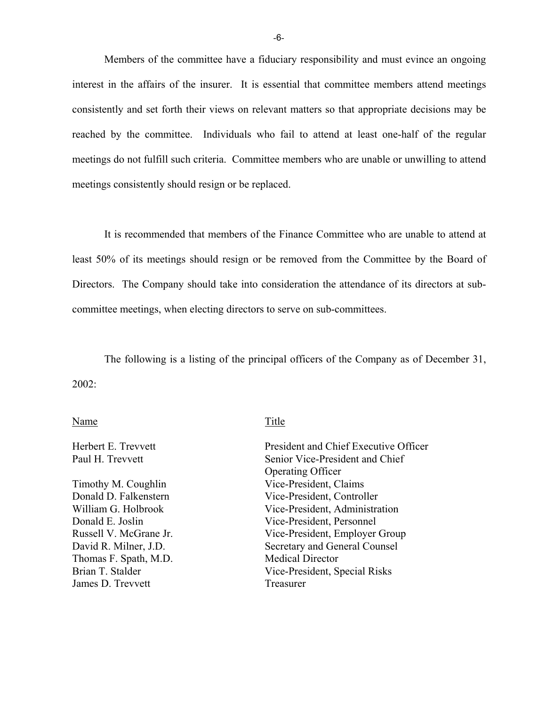Members of the committee have a fiduciary responsibility and must evince an ongoing interest in the affairs of the insurer. It is essential that committee members attend meetings consistently and set forth their views on relevant matters so that appropriate decisions may be reached by the committee. Individuals who fail to attend at least one-half of the regular meetings do not fulfill such criteria. Committee members who are unable or unwilling to attend meetings consistently should resign or be replaced.

It is recommended that members of the Finance Committee who are unable to attend at least 50% of its meetings should resign or be removed from the Committee by the Board of Directors. The Company should take into consideration the attendance of its directors at subcommittee meetings, when electing directors to serve on sub-committees.

The following is a listing of the principal officers of the Company as of December 31, 2002:

#### Name Title

Thomas F. Spath, M.D. Medical Director James D. Trevvett Treasurer

Herbert E. Trevvett President and Chief Executive Officer Paul H. Trevvett Senior Vice-President and Chief Operating Officer Timothy M. Coughlin Vice-President, Claims Donald D. Falkenstern Vice-President, Controller William G. Holbrook Vice-President, Administration Donald E. Joslin Vice-President, Personnel Russell V. McGrane Jr. Vice-President, Employer Group David R. Milner, J.D. Secretary and General Counsel Brian T. Stalder Vice-President, Special Risks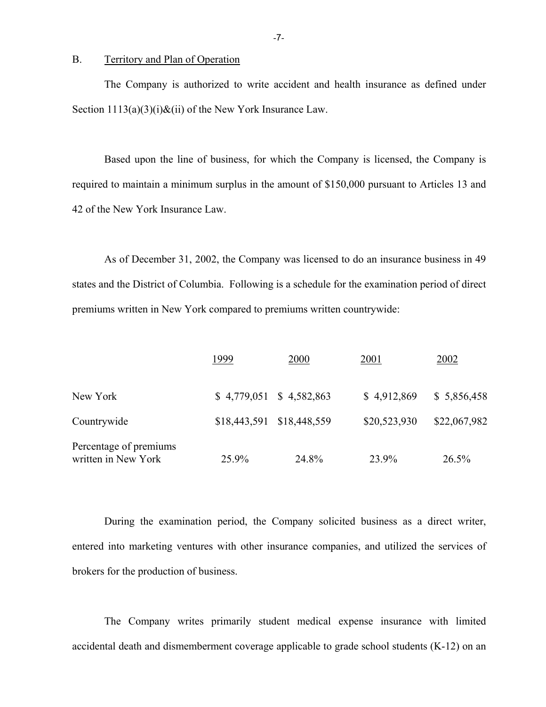#### B. Territory and Plan of Operation

The Company is authorized to write accident and health insurance as defined under Section  $1113(a)(3)(i)$ &(ii) of the New York Insurance Law.

Based upon the line of business, for which the Company is licensed, the Company is required to maintain a minimum surplus in the amount of \$150,000 pursuant to Articles 13 and 42 of the New York Insurance Law.

As of December 31, 2002, the Company was licensed to do an insurance business in 49 states and the District of Columbia. Following is a schedule for the examination period of direct premiums written in New York compared to premiums written countrywide:

|                                               | 1999                      | 2000  | 2001         | 2002         |
|-----------------------------------------------|---------------------------|-------|--------------|--------------|
| New York                                      | $$4,779,051$ $$4,582,863$ |       | \$4,912,869  | \$5,856,458  |
| Countrywide                                   | \$18,443,591 \$18,448,559 |       | \$20,523,930 | \$22,067,982 |
| Percentage of premiums<br>written in New York | 25.9%                     | 24.8% | 23.9%        | 26.5%        |

During the examination period, the Company solicited business as a direct writer, entered into marketing ventures with other insurance companies, and utilized the services of brokers for the production of business.

The Company writes primarily student medical expense insurance with limited accidental death and dismemberment coverage applicable to grade school students (K-12) on an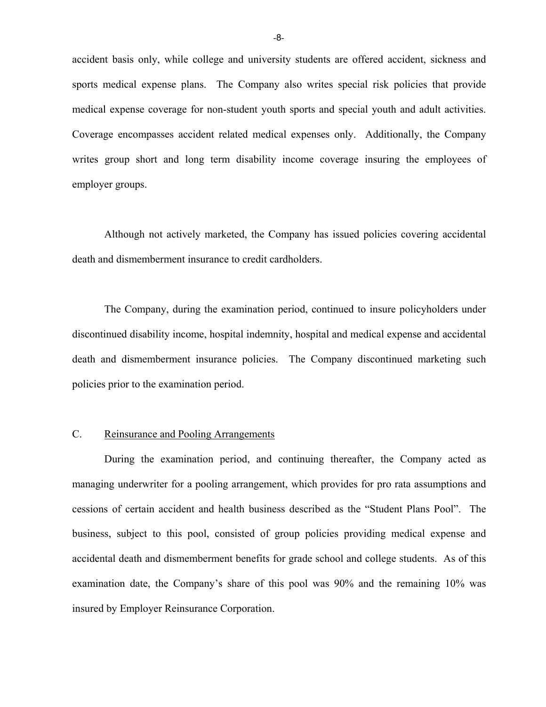accident basis only, while college and university students are offered accident, sickness and sports medical expense plans. The Company also writes special risk policies that provide medical expense coverage for non-student youth sports and special youth and adult activities. Coverage encompasses accident related medical expenses only. Additionally, the Company writes group short and long term disability income coverage insuring the employees of employer groups.

Although not actively marketed, the Company has issued policies covering accidental death and dismemberment insurance to credit cardholders.

The Company, during the examination period, continued to insure policyholders under discontinued disability income, hospital indemnity, hospital and medical expense and accidental death and dismemberment insurance policies. The Company discontinued marketing such policies prior to the examination period.

## C. Reinsurance and Pooling Arrangements

During the examination period, and continuing thereafter, the Company acted as managing underwriter for a pooling arrangement, which provides for pro rata assumptions and cessions of certain accident and health business described as the "Student Plans Pool". The business, subject to this pool, consisted of group policies providing medical expense and accidental death and dismemberment benefits for grade school and college students. As of this examination date, the Company's share of this pool was 90% and the remaining 10% was insured by Employer Reinsurance Corporation.

-8-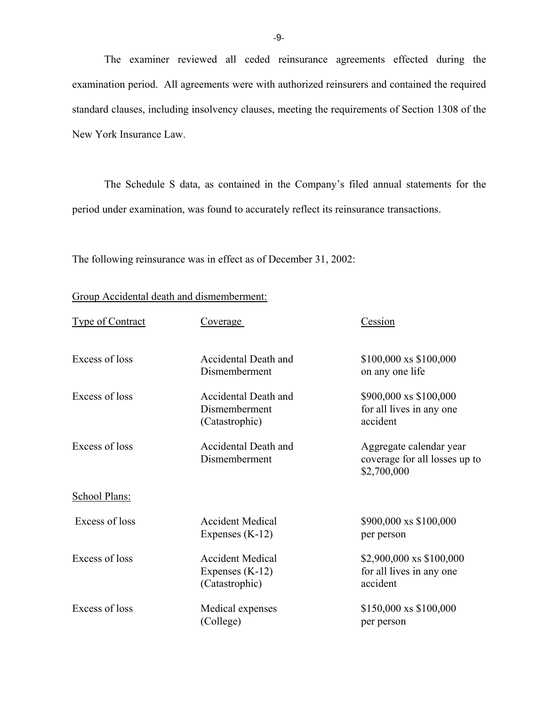The examiner reviewed all ceded reinsurance agreements effected during the examination period. All agreements were with authorized reinsurers and contained the required standard clauses, including insolvency clauses, meeting the requirements of Section 1308 of the New York Insurance Law.

The Schedule S data, as contained in the Company's filed annual statements for the period under examination, was found to accurately reflect its reinsurance transactions.

The following reinsurance was in effect as of December 31, 2002:

Group Accidental death and dismemberment:

| <b>Type of Contract</b> | Coverage                                                       | Cession                                                                 |
|-------------------------|----------------------------------------------------------------|-------------------------------------------------------------------------|
| Excess of loss          | Accidental Death and<br>Dismemberment                          | \$100,000 xs \$100,000<br>on any one life                               |
| Excess of loss          | Accidental Death and<br>Dismemberment<br>(Catastrophic)        | \$900,000 xs \$100,000<br>for all lives in any one<br>accident          |
| Excess of loss          | Accidental Death and<br>Dismemberment                          | Aggregate calendar year<br>coverage for all losses up to<br>\$2,700,000 |
| School Plans:           |                                                                |                                                                         |
| Excess of loss          | <b>Accident Medical</b><br>Expenses $(K-12)$                   | \$900,000 xs \$100,000<br>per person                                    |
| Excess of loss          | <b>Accident Medical</b><br>Expenses $(K-12)$<br>(Catastrophic) | \$2,900,000 xs \$100,000<br>for all lives in any one<br>accident        |
| Excess of loss          | Medical expenses<br>(College)                                  | \$150,000 xs \$100,000<br>per person                                    |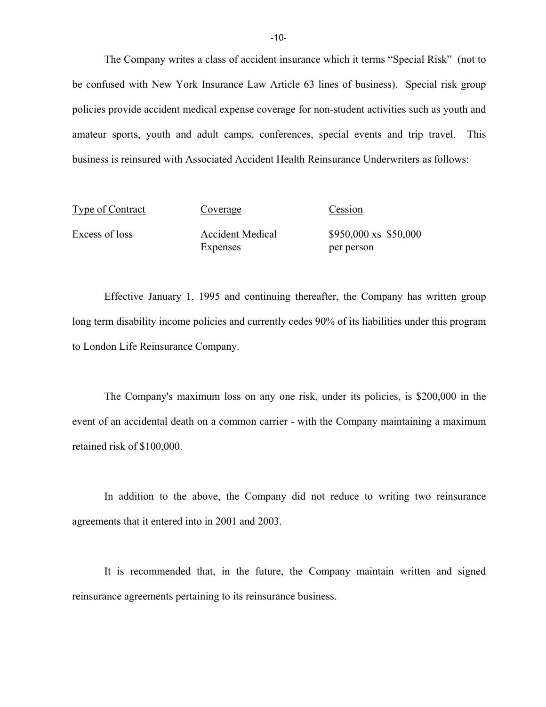The Company writes a class of accident insurance which it terms "Special Risk" (not to be confused with New York Insurance Law Article 63 lines of business). Special risk group policies provide accident medical expense coverage for non-student activities such as youth and amateur sports, youth and adult camps, conferences, special events and trip travel. This business is reinsured with Associated Accident Health Reinsurance Underwriters as follows:

| Type of Contract | Coverage                | Cession                        |
|------------------|-------------------------|--------------------------------|
| Excess of loss   | <b>Accident Medical</b> | $$950,000 \text{ xs } $50,000$ |
|                  | <b>Expenses</b>         | per person                     |

Effective January 1, 1995 and continuing thereafter, the Company has written group long term disability income policies and currently cedes 90% of its liabilities under this program to London Life Reinsurance Company.

The Company's maximum loss on any one risk, under its policies, is \$200,000 in the event of an accidental death on a common carrier - with the Company maintaining a maximum retained risk of \$100,000.

In addition to the above, the Company did not reduce to writing two reinsurance agreements that it entered into in 2001 and 2003.

It is recommended that, in the future, the Company maintain written and signed reinsurance agreements pertaining to its reinsurance business.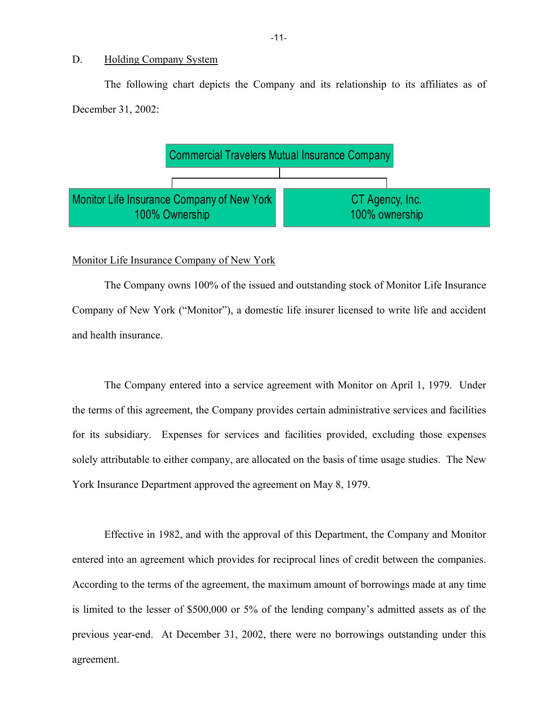#### D. Holding Company System

The following chart depicts the Company and its relationship to its affiliates as of December 31, 2002:



#### Monitor Life Insurance Company of New York

The Company owns 100% of the issued and outstanding stock of Monitor Life Insurance Company of New York ("Monitor"), a domestic life insurer licensed to write life and accident and health insurance.

The Company entered into a service agreement with Monitor on April 1, 1979. Under the terms of this agreement, the Company provides certain administrative services and facilities for its subsidiary. Expenses for services and facilities provided, excluding those expenses solely attributable to either company, are allocated on the basis of time usage studies. The New York Insurance Department approved the agreement on May 8, 1979.

Effective in 1982, and with the approval of this Department, the Company and Monitor entered into an agreement which provides for reciprocal lines of credit between the companies. According to the terms of the agreement, the maximum amount of borrowings made at any time is limited to the lesser of \$500,000 or 5% of the lending company's admitted assets as of the previous year-end. At December 31, 2002, there were no borrowings outstanding under this agreement.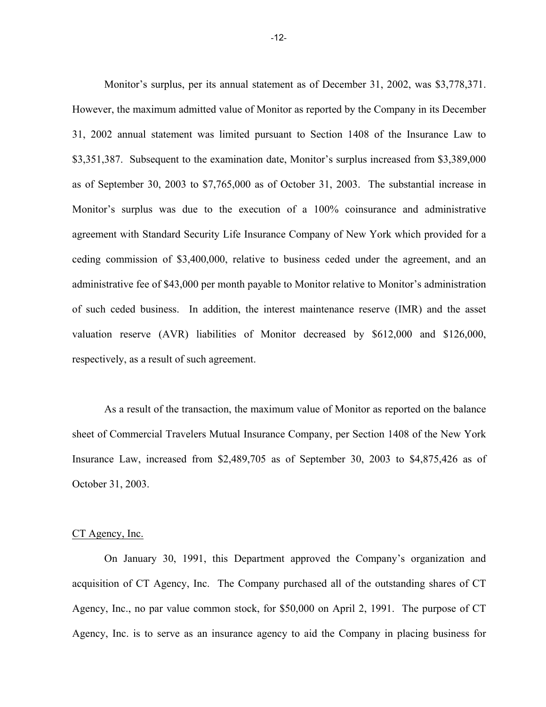Monitor's surplus, per its annual statement as of December 31, 2002, was \$3,778,371. However, the maximum admitted value of Monitor as reported by the Company in its December 31, 2002 annual statement was limited pursuant to Section 1408 of the Insurance Law to \$3,351,387. Subsequent to the examination date, Monitor's surplus increased from \$3,389,000 as of September 30, 2003 to \$7,765,000 as of October 31, 2003. The substantial increase in Monitor's surplus was due to the execution of a 100% coinsurance and administrative agreement with Standard Security Life Insurance Company of New York which provided for a ceding commission of \$3,400,000, relative to business ceded under the agreement, and an administrative fee of \$43,000 per month payable to Monitor relative to Monitor's administration of such ceded business. In addition, the interest maintenance reserve (IMR) and the asset valuation reserve (AVR) liabilities of Monitor decreased by \$612,000 and \$126,000, respectively, as a result of such agreement.

As a result of the transaction, the maximum value of Monitor as reported on the balance sheet of Commercial Travelers Mutual Insurance Company, per Section 1408 of the New York Insurance Law, increased from \$2,489,705 as of September 30, 2003 to \$4,875,426 as of October 31, 2003.

#### CT Agency, Inc.

On January 30, 1991, this Department approved the Company's organization and acquisition of CT Agency, Inc. The Company purchased all of the outstanding shares of CT Agency, Inc., no par value common stock, for \$50,000 on April 2, 1991. The purpose of CT Agency, Inc. is to serve as an insurance agency to aid the Company in placing business for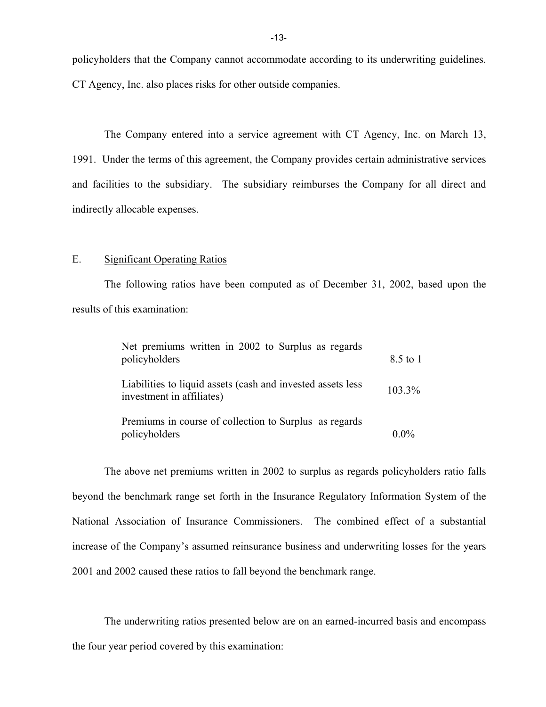policyholders that the Company cannot accommodate according to its underwriting guidelines. CT Agency, Inc. also places risks for other outside companies.

The Company entered into a service agreement with CT Agency, Inc. on March 13, 1991. Under the terms of this agreement, the Company provides certain administrative services and facilities to the subsidiary. The subsidiary reimburses the Company for all direct and indirectly allocable expenses.

#### E. Significant Operating Ratios

The following ratios have been computed as of December 31, 2002, based upon the results of this examination:

| Net premiums written in 2002 to Surplus as regards<br>policyholders                      | 8.5 to 1 |
|------------------------------------------------------------------------------------------|----------|
| Liabilities to liquid assets (cash and invested assets less<br>investment in affiliates) | 103.3%   |
| Premiums in course of collection to Surplus as regards<br>policyholders                  | $0.0\%$  |

The above net premiums written in 2002 to surplus as regards policyholders ratio falls beyond the benchmark range set forth in the Insurance Regulatory Information System of the National Association of Insurance Commissioners. The combined effect of a substantial increase of the Company's assumed reinsurance business and underwriting losses for the years 2001 and 2002 caused these ratios to fall beyond the benchmark range.

The underwriting ratios presented below are on an earned-incurred basis and encompass the four year period covered by this examination: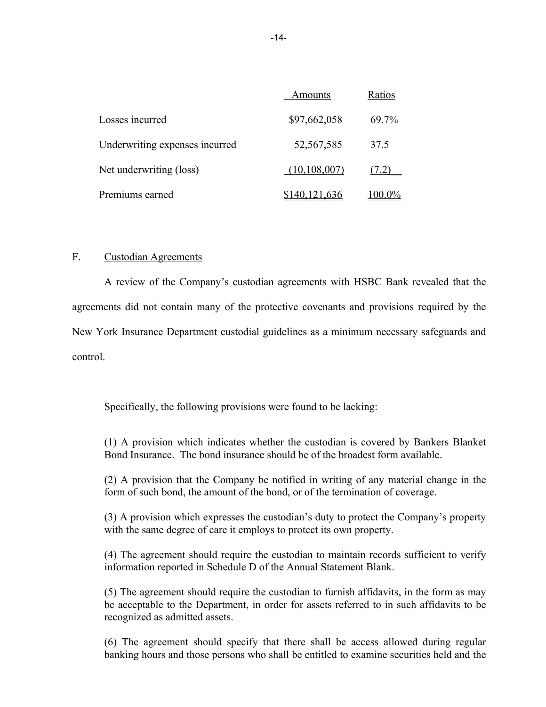|                                | Amounts        | Ratios |
|--------------------------------|----------------|--------|
| Losses incurred                | \$97,662,058   | 69.7%  |
| Underwriting expenses incurred | 52,567,585     | 37.5   |
| Net underwriting (loss)        | (10, 108, 007) |        |
| Premiums earned                |                |        |

#### F. Custodian Agreements

A review of the Company's custodian agreements with HSBC Bank revealed that the agreements did not contain many of the protective covenants and provisions required by the New York Insurance Department custodial guidelines as a minimum necessary safeguards and control.

Specifically, the following provisions were found to be lacking:

(1) A provision which indicates whether the custodian is covered by Bankers Blanket Bond Insurance. The bond insurance should be of the broadest form available.

(2) A provision that the Company be notified in writing of any material change in the form of such bond, the amount of the bond, or of the termination of coverage.

(3) A provision which expresses the custodian's duty to protect the Company's property with the same degree of care it employs to protect its own property.

(4) The agreement should require the custodian to maintain records sufficient to verify information reported in Schedule D of the Annual Statement Blank.

(5) The agreement should require the custodian to furnish affidavits, in the form as may be acceptable to the Department, in order for assets referred to in such affidavits to be recognized as admitted assets.

(6) The agreement should specify that there shall be access allowed during regular banking hours and those persons who shall be entitled to examine securities held and the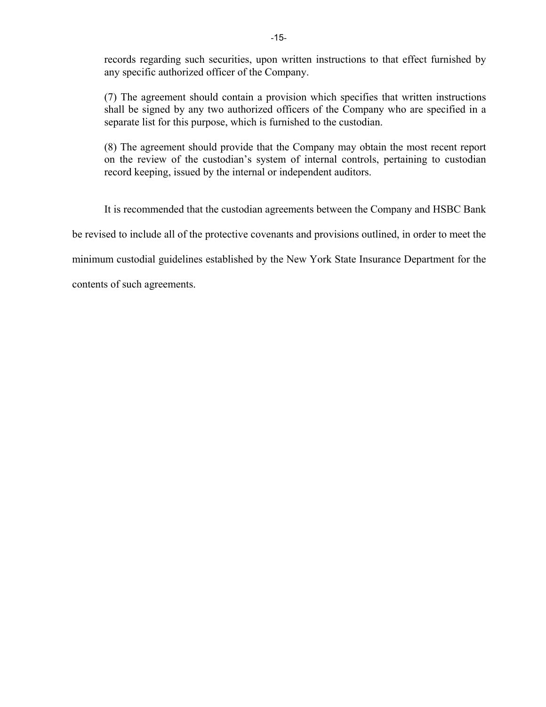records regarding such securities, upon written instructions to that effect furnished by any specific authorized officer of the Company.

(7) The agreement should contain a provision which specifies that written instructions shall be signed by any two authorized officers of the Company who are specified in a separate list for this purpose, which is furnished to the custodian.

(8) The agreement should provide that the Company may obtain the most recent report on the review of the custodian's system of internal controls, pertaining to custodian record keeping, issued by the internal or independent auditors.

It is recommended that the custodian agreements between the Company and HSBC Bank

be revised to include all of the protective covenants and provisions outlined, in order to meet the

minimum custodial guidelines established by the New York State Insurance Department for the

contents of such agreements.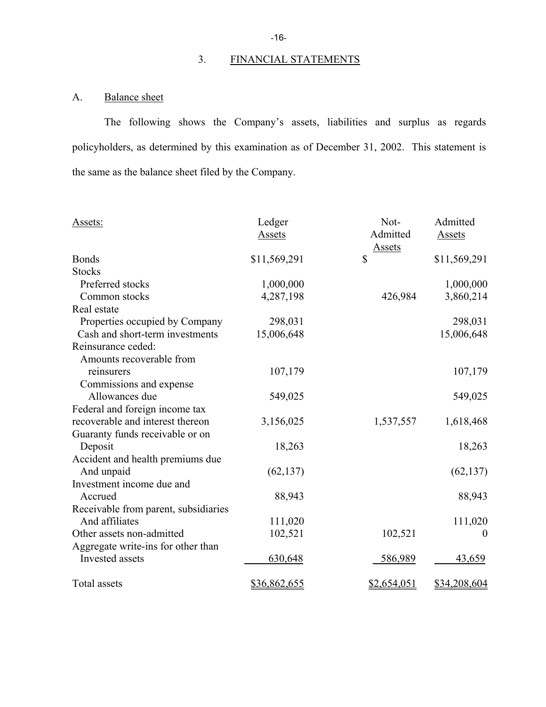# 3. FINANCIAL STATEMENTS

# A. Balance sheet

The following shows the Company's assets, liabilities and surplus as regards policyholders, as determined by this examination as of December 31, 2002. This statement is the same as the balance sheet filed by the Company.

| Assets:                              | Ledger       | Not-          | Admitted         |
|--------------------------------------|--------------|---------------|------------------|
|                                      | Assets       | Admitted      | Assets           |
|                                      |              | <u>Assets</u> |                  |
| <b>Bonds</b>                         | \$11,569,291 | \$            | \$11,569,291     |
| <b>Stocks</b>                        |              |               |                  |
| Preferred stocks                     | 1,000,000    |               | 1,000,000        |
| Common stocks                        | 4,287,198    | 426,984       | 3,860,214        |
| Real estate                          |              |               |                  |
| Properties occupied by Company       | 298,031      |               | 298,031          |
| Cash and short-term investments      | 15,006,648   |               | 15,006,648       |
| Reinsurance ceded:                   |              |               |                  |
| Amounts recoverable from             |              |               |                  |
| reinsurers                           | 107,179      |               | 107,179          |
| Commissions and expense              |              |               |                  |
| Allowances due                       | 549,025      |               | 549,025          |
| Federal and foreign income tax       |              |               |                  |
| recoverable and interest thereon     | 3,156,025    | 1,537,557     | 1,618,468        |
| Guaranty funds receivable or on      |              |               |                  |
| Deposit                              | 18,263       |               | 18,263           |
| Accident and health premiums due     |              |               |                  |
| And unpaid                           | (62, 137)    |               | (62, 137)        |
| Investment income due and            |              |               |                  |
| Accrued                              | 88,943       |               | 88,943           |
| Receivable from parent, subsidiaries |              |               |                  |
| And affiliates                       | 111,020      |               | 111,020          |
| Other assets non-admitted            | 102,521      | 102,521       | $\boldsymbol{0}$ |
| Aggregate write-ins for other than   |              |               |                  |
| Invested assets                      | 630,648      | 586,989       | 43,659           |
| Total assets                         | \$36,862,655 | \$2,654,051   | \$34,208,604     |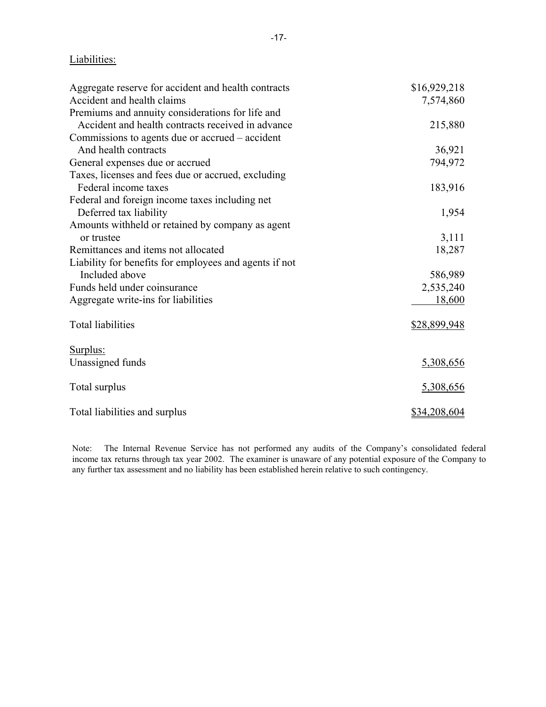## Liabilities:

| Aggregate reserve for accident and health contracts    | \$16,929,218 |
|--------------------------------------------------------|--------------|
| Accident and health claims                             | 7,574,860    |
| Premiums and annuity considerations for life and       |              |
| Accident and health contracts received in advance      | 215,880      |
| Commissions to agents due or accrued – accident        |              |
| And health contracts                                   | 36,921       |
| General expenses due or accrued                        | 794,972      |
| Taxes, licenses and fees due or accrued, excluding     |              |
| Federal income taxes                                   | 183,916      |
| Federal and foreign income taxes including net         |              |
| Deferred tax liability                                 | 1,954        |
| Amounts withheld or retained by company as agent       |              |
| or trustee                                             | 3,111        |
| Remittances and items not allocated                    | 18,287       |
| Liability for benefits for employees and agents if not |              |
| Included above                                         | 586,989      |
| Funds held under coinsurance                           | 2,535,240    |
| Aggregate write-ins for liabilities                    | 18,600       |
| <b>Total liabilities</b>                               | \$28,899,948 |
| Surplus:                                               |              |
| Unassigned funds                                       | 5,308,656    |
| Total surplus                                          | 5,308,656    |
| Total liabilities and surplus                          | \$34,208,604 |

Note: The Internal Revenue Service has not performed any audits of the Company's consolidated federal income tax returns through tax year 2002. The examiner is unaware of any potential exposure of the Company to any further tax assessment and no liability has been established herein relative to such contingency.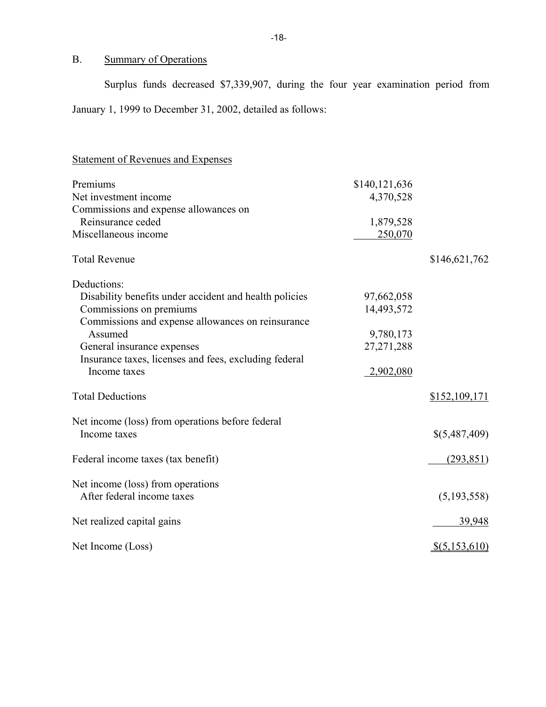# B. Summary of Operations

Surplus funds decreased \$7,339,907, during the four year examination period from January 1, 1999 to December 31, 2002, detailed as follows:

# Statement of Revenues and Expenses

| Premiums                                               | \$140,121,636 |               |
|--------------------------------------------------------|---------------|---------------|
| Net investment income                                  | 4,370,528     |               |
| Commissions and expense allowances on                  |               |               |
| Reinsurance ceded                                      | 1,879,528     |               |
| Miscellaneous income                                   | 250,070       |               |
| <b>Total Revenue</b>                                   |               | \$146,621,762 |
| Deductions:                                            |               |               |
| Disability benefits under accident and health policies | 97,662,058    |               |
| Commissions on premiums                                | 14,493,572    |               |
| Commissions and expense allowances on reinsurance      |               |               |
| Assumed                                                | 9,780,173     |               |
| General insurance expenses                             | 27, 271, 288  |               |
| Insurance taxes, licenses and fees, excluding federal  |               |               |
| Income taxes                                           | 2,902,080     |               |
| <b>Total Deductions</b>                                |               | \$152,109,171 |
| Net income (loss) from operations before federal       |               |               |
| Income taxes                                           |               | \$(5,487,409) |
| Federal income taxes (tax benefit)                     |               | (293, 851)    |
| Net income (loss) from operations                      |               |               |
| After federal income taxes                             |               | (5, 193, 558) |
| Net realized capital gains                             |               | 39,948        |
| Net Income (Loss)                                      |               | \$(5,153,610) |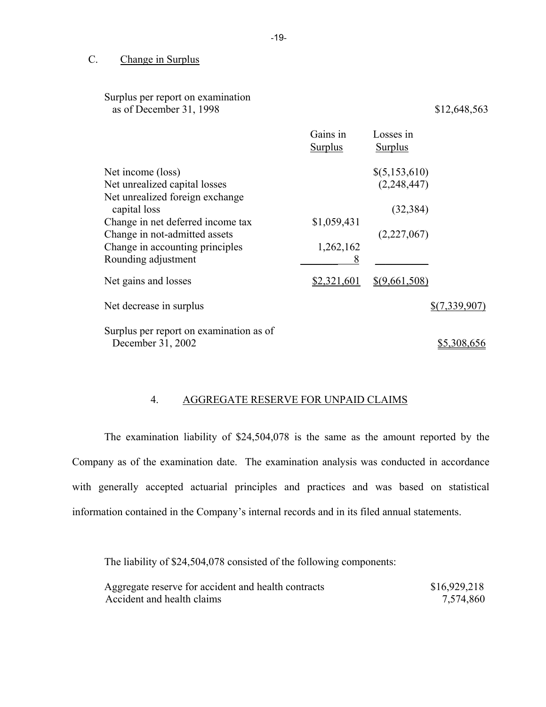### C. Change in Surplus

| Surplus per report on examination<br>as of December 31, 1998                                                                                                                                                                          |                               |                                                                | \$12,648,563  |
|---------------------------------------------------------------------------------------------------------------------------------------------------------------------------------------------------------------------------------------|-------------------------------|----------------------------------------------------------------|---------------|
|                                                                                                                                                                                                                                       | Gains in<br>Surplus           | Losses in<br><b>Surplus</b>                                    |               |
| Net income (loss)<br>Net unrealized capital losses<br>Net unrealized foreign exchange<br>capital loss<br>Change in net deferred income tax<br>Change in not-admitted assets<br>Change in accounting principles<br>Rounding adjustment | \$1,059,431<br>1,262,162<br>8 | $\{(5, 153, 610)\}$<br>(2,248,447)<br>(32, 384)<br>(2,227,067) |               |
| Net gains and losses                                                                                                                                                                                                                  | \$2,321,601                   | \$(9,661,508)                                                  |               |
| Net decrease in surplus                                                                                                                                                                                                               |                               |                                                                | \$(7,339,907) |
| Surplus per report on examination as of<br>December 31, 2002                                                                                                                                                                          |                               |                                                                | \$5,308,656   |

## 4. AGGREGATE RESERVE FOR UNPAID CLAIMS

The examination liability of \$24,504,078 is the same as the amount reported by the Company as of the examination date. The examination analysis was conducted in accordance with generally accepted actuarial principles and practices and was based on statistical information contained in the Company's internal records and in its filed annual statements.

The liability of \$24,504,078 consisted of the following components:

| Aggregate reserve for accident and health contracts | \$16,929,218 |
|-----------------------------------------------------|--------------|
| Accident and health claims                          | 7,574,860    |

-19-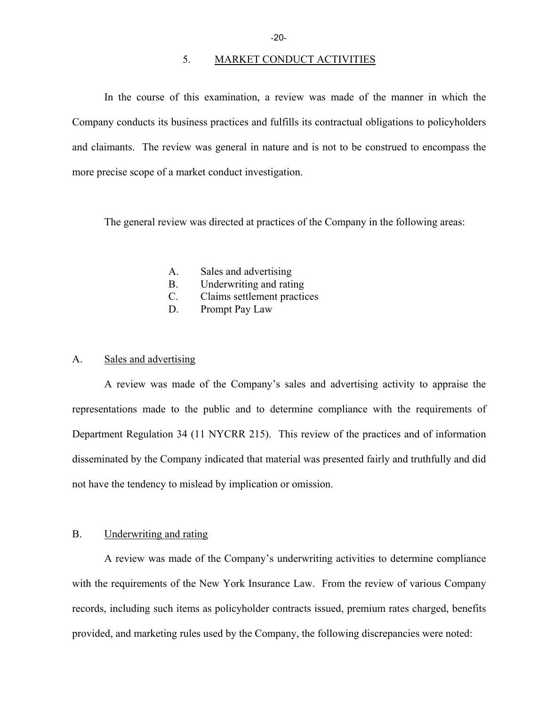#### 5. MARKET CONDUCT ACTIVITIES

In the course of this examination, a review was made of the manner in which the Company conducts its business practices and fulfills its contractual obligations to policyholders and claimants. The review was general in nature and is not to be construed to encompass the more precise scope of a market conduct investigation.

The general review was directed at practices of the Company in the following areas:

- A. Sales and advertising
- B. Underwriting and rating
- C. Claims settlement practices
- D. Prompt Pay Law

#### A. Sales and advertising

A review was made of the Company's sales and advertising activity to appraise the representations made to the public and to determine compliance with the requirements of Department Regulation 34 (11 NYCRR 215). This review of the practices and of information disseminated by the Company indicated that material was presented fairly and truthfully and did not have the tendency to mislead by implication or omission.

#### B. Underwriting and rating

A review was made of the Company's underwriting activities to determine compliance with the requirements of the New York Insurance Law. From the review of various Company records, including such items as policyholder contracts issued, premium rates charged, benefits provided, and marketing rules used by the Company, the following discrepancies were noted: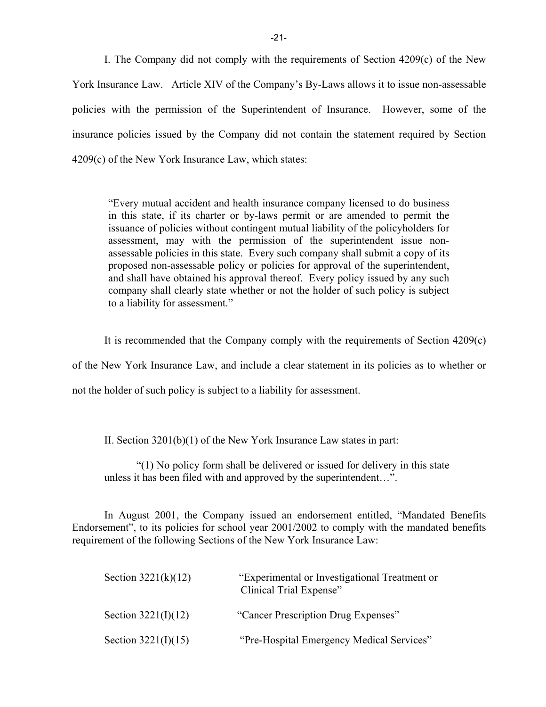I. The Company did not comply with the requirements of Section 4209(c) of the New York Insurance Law. Article XIV of the Company's By-Laws allows it to issue non-assessable policies with the permission of the Superintendent of Insurance. However, some of the insurance policies issued by the Company did not contain the statement required by Section 4209(c) of the New York Insurance Law, which states:

"Every mutual accident and health insurance company licensed to do business in this state, if its charter or by-laws permit or are amended to permit the issuance of policies without contingent mutual liability of the policyholders for assessment, may with the permission of the superintendent issue nonassessable policies in this state. Every such company shall submit a copy of its proposed non-assessable policy or policies for approval of the superintendent, and shall have obtained his approval thereof. Every policy issued by any such company shall clearly state whether or not the holder of such policy is subject to a liability for assessment."

It is recommended that the Company comply with the requirements of Section 4209(c)

of the New York Insurance Law, and include a clear statement in its policies as to whether or

not the holder of such policy is subject to a liability for assessment.

II. Section 3201(b)(1) of the New York Insurance Law states in part:

"(1) No policy form shall be delivered or issued for delivery in this state unless it has been filed with and approved by the superintendent…".

In August 2001, the Company issued an endorsement entitled, "Mandated Benefits Endorsement", to its policies for school year 2001/2002 to comply with the mandated benefits requirement of the following Sections of the New York Insurance Law:

| Section $3221(k)(12)$ | "Experimental or Investigational Treatment or<br>Clinical Trial Expense" |
|-----------------------|--------------------------------------------------------------------------|
| Section $3221(I)(12)$ | "Cancer Prescription Drug Expenses"                                      |
| Section $3221(I)(15)$ | "Pre-Hospital Emergency Medical Services"                                |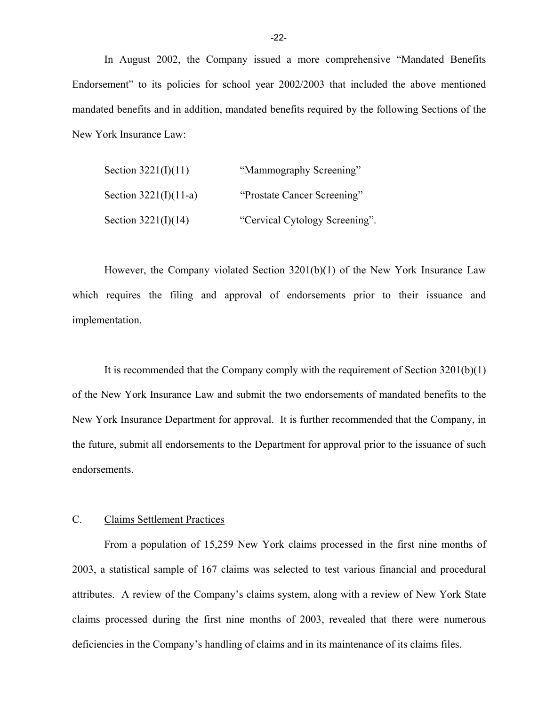In August 2002, the Company issued a more comprehensive "Mandated Benefits Endorsement" to its policies for school year 2002/2003 that included the above mentioned mandated benefits and in addition, mandated benefits required by the following Sections of the New York Insurance Law:

| Section $3221(I)(11)$   | "Mammography Screening"        |
|-------------------------|--------------------------------|
| Section $3221(I)(11-a)$ | "Prostate Cancer Screening"    |
| Section $3221(I)(14)$   | "Cervical Cytology Screening". |

However, the Company violated Section 3201(b)(1) of the New York Insurance Law which requires the filing and approval of endorsements prior to their issuance and implementation.

It is recommended that the Company comply with the requirement of Section 3201(b)(1) of the New York Insurance Law and submit the two endorsements of mandated benefits to the New York Insurance Department for approval. It is further recommended that the Company, in the future, submit all endorsements to the Department for approval prior to the issuance of such endorsements.

#### C. Claims Settlement Practices

From a population of 15,259 New York claims processed in the first nine months of 2003, a statistical sample of 167 claims was selected to test various financial and procedural attributes. A review of the Company's claims system, along with a review of New York State claims processed during the first nine months of 2003, revealed that there were numerous deficiencies in the Company's handling of claims and in its maintenance of its claims files.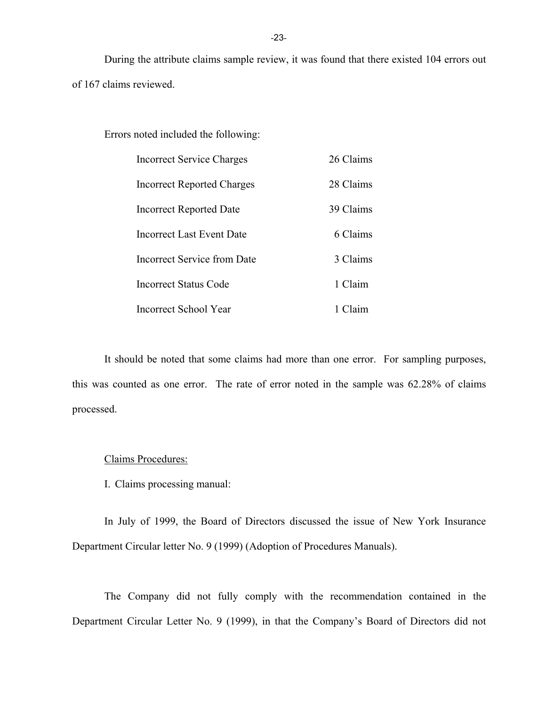During the attribute claims sample review, it was found that there existed 104 errors out of 167 claims reviewed.

#### Errors noted included the following:

| <b>Incorrect Service Charges</b> | 26 Claims |
|----------------------------------|-----------|
| Incorrect Reported Charges       | 28 Claims |
| Incorrect Reported Date          | 39 Claims |
| Incorrect Last Event Date        | 6 Claims  |
| Incorrect Service from Date      | 3 Claims  |
| Incorrect Status Code            | 1 Claim   |
| Incorrect School Year            | Claim     |

It should be noted that some claims had more than one error. For sampling purposes, this was counted as one error. The rate of error noted in the sample was 62.28% of claims processed.

#### Claims Procedures:

I. Claims processing manual:

In July of 1999, the Board of Directors discussed the issue of New York Insurance Department Circular letter No. 9 (1999) (Adoption of Procedures Manuals).

The Company did not fully comply with the recommendation contained in the Department Circular Letter No. 9 (1999), in that the Company's Board of Directors did not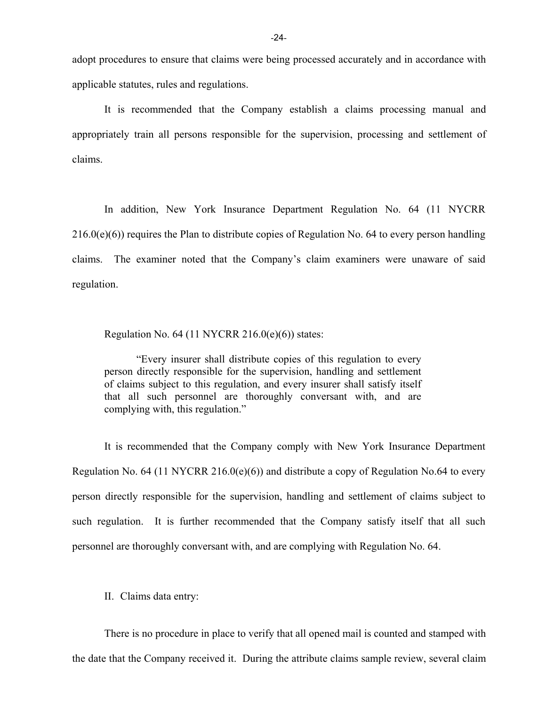adopt procedures to ensure that claims were being processed accurately and in accordance with applicable statutes, rules and regulations.

It is recommended that the Company establish a claims processing manual and appropriately train all persons responsible for the supervision, processing and settlement of claims.

In addition, New York Insurance Department Regulation No. 64 (11 NYCRR  $216.0(e)(6)$ ) requires the Plan to distribute copies of Regulation No. 64 to every person handling claims. The examiner noted that the Company's claim examiners were unaware of said regulation.

Regulation No.  $64$  (11 NYCRR 216.0(e)(6)) states:

"Every insurer shall distribute copies of this regulation to every person directly responsible for the supervision, handling and settlement of claims subject to this regulation, and every insurer shall satisfy itself that all such personnel are thoroughly conversant with, and are complying with, this regulation."

It is recommended that the Company comply with New York Insurance Department Regulation No. 64 (11 NYCRR 216.0(e)(6)) and distribute a copy of Regulation No.64 to every person directly responsible for the supervision, handling and settlement of claims subject to such regulation. It is further recommended that the Company satisfy itself that all such personnel are thoroughly conversant with, and are complying with Regulation No. 64.

II. Claims data entry:

There is no procedure in place to verify that all opened mail is counted and stamped with the date that the Company received it. During the attribute claims sample review, several claim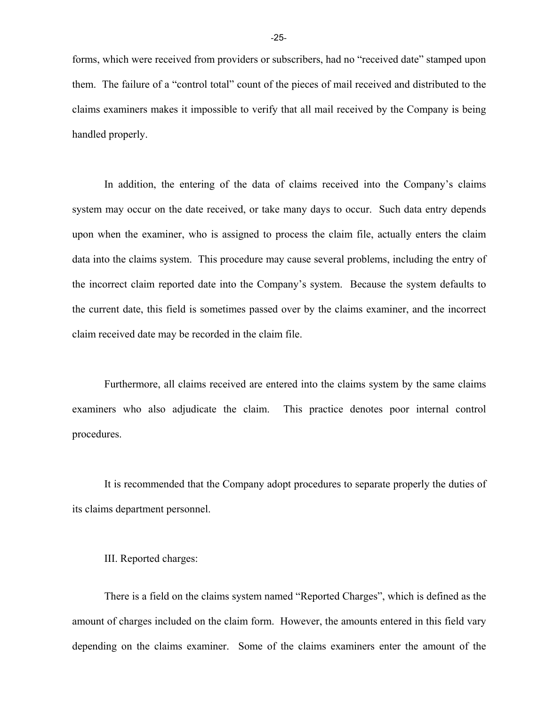forms, which were received from providers or subscribers, had no "received date" stamped upon them. The failure of a "control total" count of the pieces of mail received and distributed to the claims examiners makes it impossible to verify that all mail received by the Company is being handled properly.

In addition, the entering of the data of claims received into the Company's claims system may occur on the date received, or take many days to occur. Such data entry depends upon when the examiner, who is assigned to process the claim file, actually enters the claim data into the claims system. This procedure may cause several problems, including the entry of the incorrect claim reported date into the Company's system. Because the system defaults to the current date, this field is sometimes passed over by the claims examiner, and the incorrect claim received date may be recorded in the claim file.

 examiners who also adjudicate the claim. This practice denotes poor internal control Furthermore, all claims received are entered into the claims system by the same claims procedures.

It is recommended that the Company adopt procedures to separate properly the duties of its claims department personnel.

#### III. Reported charges:

There is a field on the claims system named "Reported Charges", which is defined as the amount of charges included on the claim form. However, the amounts entered in this field vary depending on the claims examiner. Some of the claims examiners enter the amount of the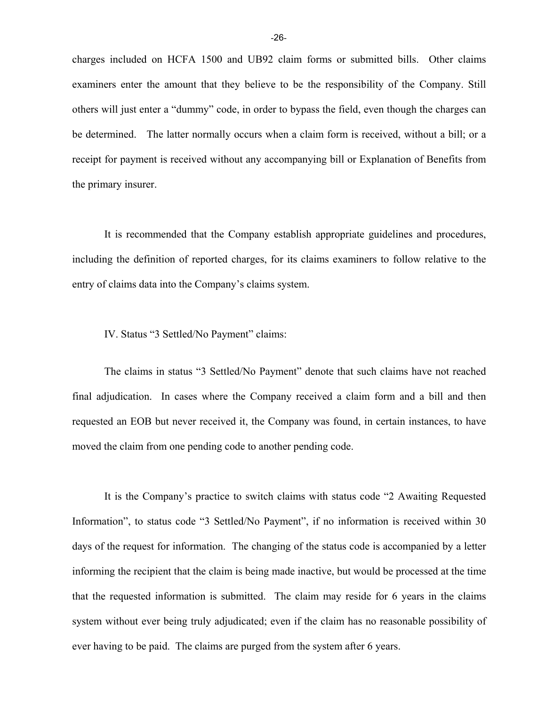charges included on HCFA 1500 and UB92 claim forms or submitted bills. Other claims examiners enter the amount that they believe to be the responsibility of the Company. Still others will just enter a "dummy" code, in order to bypass the field, even though the charges can be determined. The latter normally occurs when a claim form is received, without a bill; or a receipt for payment is received without any accompanying bill or Explanation of Benefits from the primary insurer.

It is recommended that the Company establish appropriate guidelines and procedures, including the definition of reported charges, for its claims examiners to follow relative to the entry of claims data into the Company's claims system.

IV. Status "3 Settled/No Payment" claims:

The claims in status "3 Settled/No Payment" denote that such claims have not reached final adjudication. In cases where the Company received a claim form and a bill and then requested an EOB but never received it, the Company was found, in certain instances, to have moved the claim from one pending code to another pending code.

It is the Company's practice to switch claims with status code "2 Awaiting Requested Information", to status code "3 Settled/No Payment", if no information is received within 30 days of the request for information. The changing of the status code is accompanied by a letter informing the recipient that the claim is being made inactive, but would be processed at the time that the requested information is submitted. The claim may reside for 6 years in the claims system without ever being truly adjudicated; even if the claim has no reasonable possibility of ever having to be paid. The claims are purged from the system after 6 years.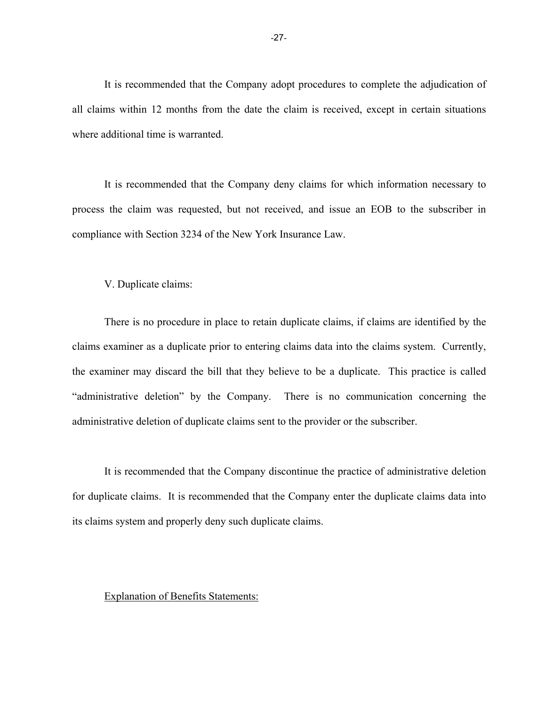It is recommended that the Company adopt procedures to complete the adjudication of all claims within 12 months from the date the claim is received, except in certain situations where additional time is warranted.

It is recommended that the Company deny claims for which information necessary to process the claim was requested, but not received, and issue an EOB to the subscriber in compliance with Section 3234 of the New York Insurance Law.

V. Duplicate claims:

There is no procedure in place to retain duplicate claims, if claims are identified by the claims examiner as a duplicate prior to entering claims data into the claims system. Currently, the examiner may discard the bill that they believe to be a duplicate. This practice is called "administrative deletion" by the Company. There is no communication concerning the administrative deletion of duplicate claims sent to the provider or the subscriber.

It is recommended that the Company discontinue the practice of administrative deletion for duplicate claims. It is recommended that the Company enter the duplicate claims data into its claims system and properly deny such duplicate claims.

#### Explanation of Benefits Statements: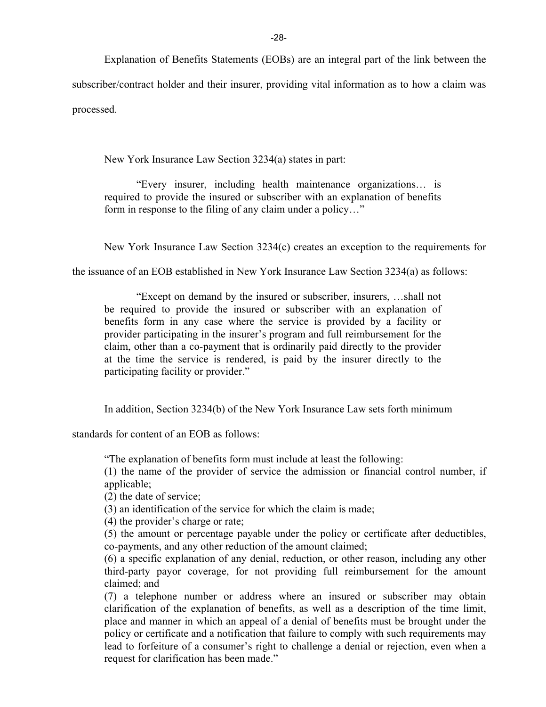Explanation of Benefits Statements (EOBs) are an integral part of the link between the

subscriber/contract holder and their insurer, providing vital information as to how a claim was processed.

New York Insurance Law Section 3234(a) states in part:

"Every insurer, including health maintenance organizations… is required to provide the insured or subscriber with an explanation of benefits form in response to the filing of any claim under a policy…"

New York Insurance Law Section 3234(c) creates an exception to the requirements for

the issuance of an EOB established in New York Insurance Law Section 3234(a) as follows:

"Except on demand by the insured or subscriber, insurers, …shall not be required to provide the insured or subscriber with an explanation of benefits form in any case where the service is provided by a facility or provider participating in the insurer's program and full reimbursement for the claim, other than a co-payment that is ordinarily paid directly to the provider at the time the service is rendered, is paid by the insurer directly to the participating facility or provider."

In addition, Section 3234(b) of the New York Insurance Law sets forth minimum

standards for content of an EOB as follows:

"The explanation of benefits form must include at least the following:

(1) the name of the provider of service the admission or financial control number, if applicable;

(2) the date of service;

(3) an identification of the service for which the claim is made;

(4) the provider's charge or rate;

(5) the amount or percentage payable under the policy or certificate after deductibles, co-payments, and any other reduction of the amount claimed;

(6) a specific explanation of any denial, reduction, or other reason, including any other third-party payor coverage, for not providing full reimbursement for the amount claimed; and

(7) a telephone number or address where an insured or subscriber may obtain clarification of the explanation of benefits, as well as a description of the time limit, place and manner in which an appeal of a denial of benefits must be brought under the policy or certificate and a notification that failure to comply with such requirements may lead to forfeiture of a consumer's right to challenge a denial or rejection, even when a request for clarification has been made."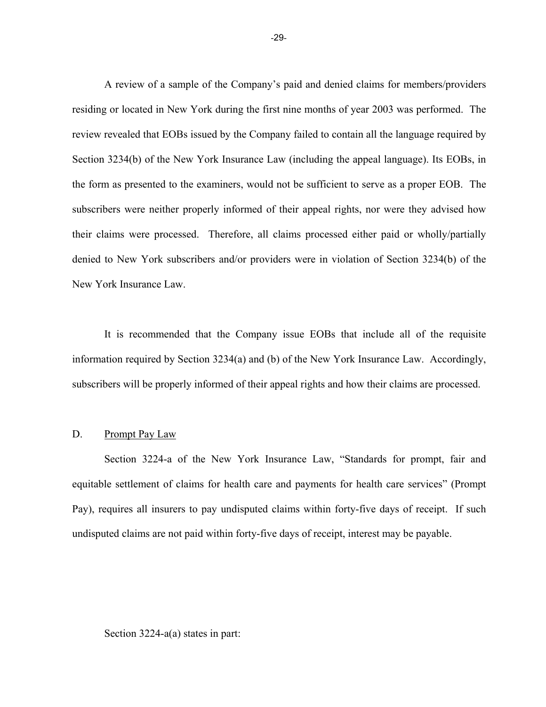A review of a sample of the Company's paid and denied claims for members/providers residing or located in New York during the first nine months of year 2003 was performed. The review revealed that EOBs issued by the Company failed to contain all the language required by Section 3234(b) of the New York Insurance Law (including the appeal language). Its EOBs, in the form as presented to the examiners, would not be sufficient to serve as a proper EOB. The subscribers were neither properly informed of their appeal rights, nor were they advised how their claims were processed. Therefore, all claims processed either paid or wholly/partially denied to New York subscribers and/or providers were in violation of Section 3234(b) of the New York Insurance Law.

It is recommended that the Company issue EOBs that include all of the requisite information required by Section 3234(a) and (b) of the New York Insurance Law. Accordingly, subscribers will be properly informed of their appeal rights and how their claims are processed.

#### D. Prompt Pay Law

Section 3224-a of the New York Insurance Law, "Standards for prompt, fair and equitable settlement of claims for health care and payments for health care services" (Prompt Pay), requires all insurers to pay undisputed claims within forty-five days of receipt. If such undisputed claims are not paid within forty-five days of receipt, interest may be payable.

#### Section 3224-a(a) states in part: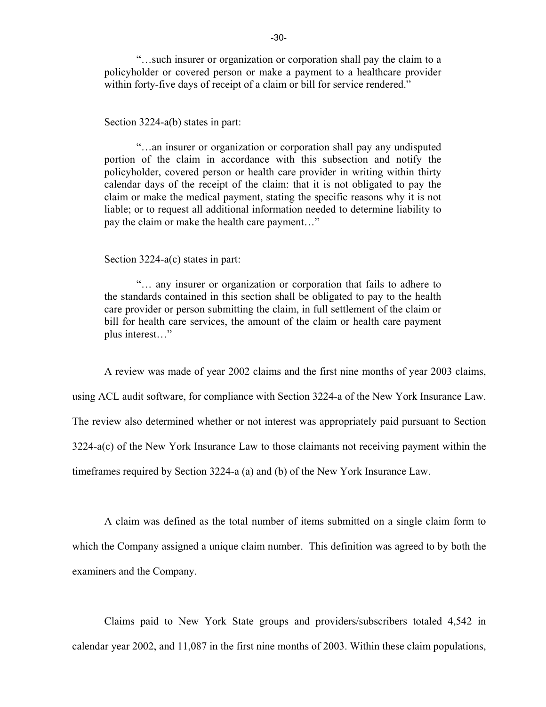"…such insurer or organization or corporation shall pay the claim to a policyholder or covered person or make a payment to a healthcare provider within forty-five days of receipt of a claim or bill for service rendered."

#### Section 3224-a(b) states in part:

"…an insurer or organization or corporation shall pay any undisputed portion of the claim in accordance with this subsection and notify the policyholder, covered person or health care provider in writing within thirty calendar days of the receipt of the claim: that it is not obligated to pay the claim or make the medical payment, stating the specific reasons why it is not liable; or to request all additional information needed to determine liability to pay the claim or make the health care payment…"

Section 3224-a(c) states in part:

"… any insurer or organization or corporation that fails to adhere to the standards contained in this section shall be obligated to pay to the health care provider or person submitting the claim, in full settlement of the claim or bill for health care services, the amount of the claim or health care payment plus interest…"

A review was made of year 2002 claims and the first nine months of year 2003 claims,

using ACL audit software, for compliance with Section 3224-a of the New York Insurance Law.

The review also determined whether or not interest was appropriately paid pursuant to Section

3224-a(c) of the New York Insurance Law to those claimants not receiving payment within the

timeframes required by Section 3224-a (a) and (b) of the New York Insurance Law.

A claim was defined as the total number of items submitted on a single claim form to which the Company assigned a unique claim number. This definition was agreed to by both the examiners and the Company.

Claims paid to New York State groups and providers/subscribers totaled 4,542 in calendar year 2002, and 11,087 in the first nine months of 2003. Within these claim populations,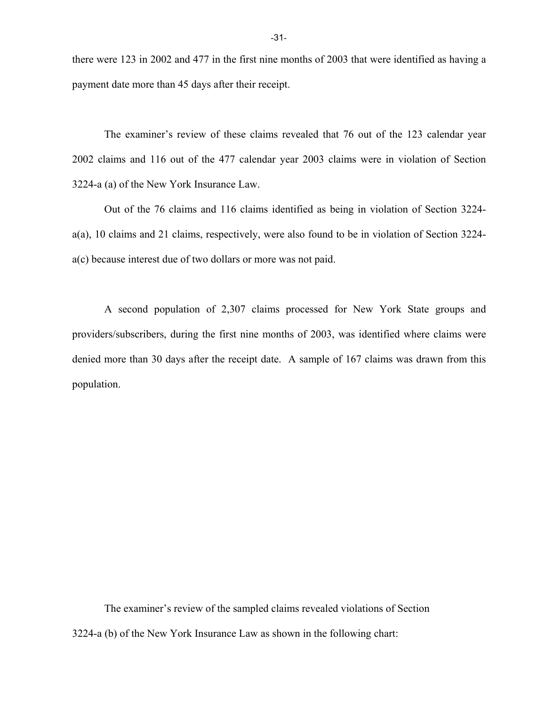there were 123 in 2002 and 477 in the first nine months of 2003 that were identified as having a payment date more than 45 days after their receipt.

The examiner's review of these claims revealed that 76 out of the 123 calendar year 2002 claims and 116 out of the 477 calendar year 2003 claims were in violation of Section 3224-a (a) of the New York Insurance Law.

Out of the 76 claims and 116 claims identified as being in violation of Section 3224 a(a), 10 claims and 21 claims, respectively, were also found to be in violation of Section 3224 a(c) because interest due of two dollars or more was not paid.

A second population of 2,307 claims processed for New York State groups and providers/subscribers, during the first nine months of 2003, was identified where claims were denied more than 30 days after the receipt date. A sample of 167 claims was drawn from this population.

The examiner's review of the sampled claims revealed violations of Section 3224-a (b) of the New York Insurance Law as shown in the following chart: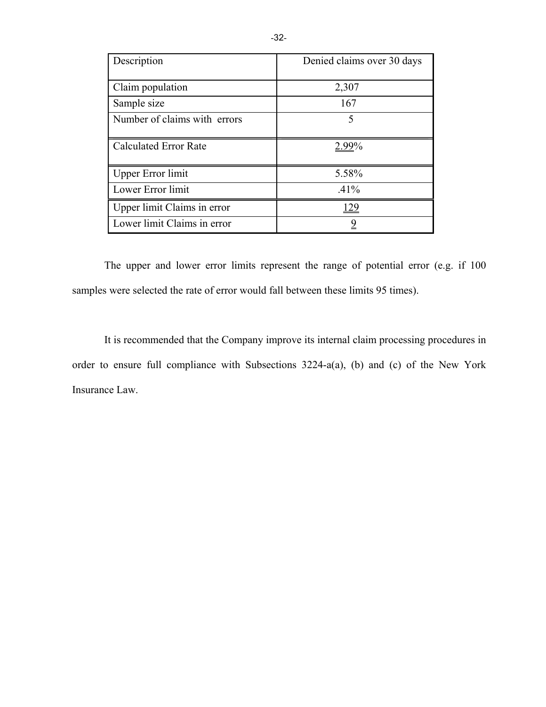| Description                  | Denied claims over 30 days |
|------------------------------|----------------------------|
| Claim population             | 2,307                      |
| Sample size                  | 167                        |
| Number of claims with errors | 5                          |
| <b>Calculated Error Rate</b> | 2.99%                      |
| <b>Upper Error limit</b>     | 5.58%                      |
| Lower Error limit            | .41%                       |
| Upper limit Claims in error  | <u> 129</u>                |
| Lower limit Claims in error  | <u>9</u>                   |

The upper and lower error limits represent the range of potential error (e.g. if 100 samples were selected the rate of error would fall between these limits 95 times).

It is recommended that the Company improve its internal claim processing procedures in order to ensure full compliance with Subsections 3224-a(a), (b) and (c) of the New York Insurance Law.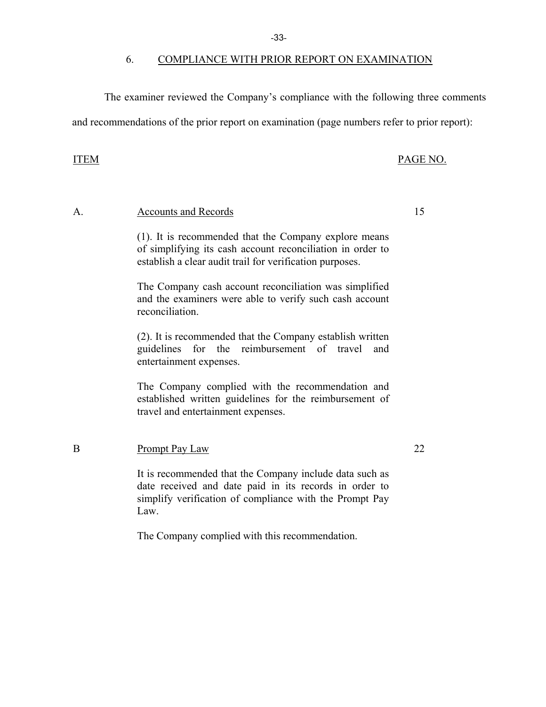-33-

#### 6. COMPLIANCE WITH PRIOR REPORT ON EXAMINATION

The examiner reviewed the Company's compliance with the following three comments

and recommendations of the prior report on examination (page numbers refer to prior report):

#### ITEM PAGE NO.

# A. Accounts and Records 15

(1). It is recommended that the Company explore means of simplifying its cash account reconciliation in order to establish a clear audit trail for verification purposes.

The Company cash account reconciliation was simplified and the examiners were able to verify such cash account reconciliation.

(2). It is recommended that the Company establish written guidelines for the reimbursement of travel and entertainment expenses.

The Company complied with the recommendation and established written guidelines for the reimbursement of travel and entertainment expenses.

#### B Prompt Pay Law 22

It is recommended that the Company include data such as date received and date paid in its records in order to simplify verification of compliance with the Prompt Pay Law.

The Company complied with this recommendation.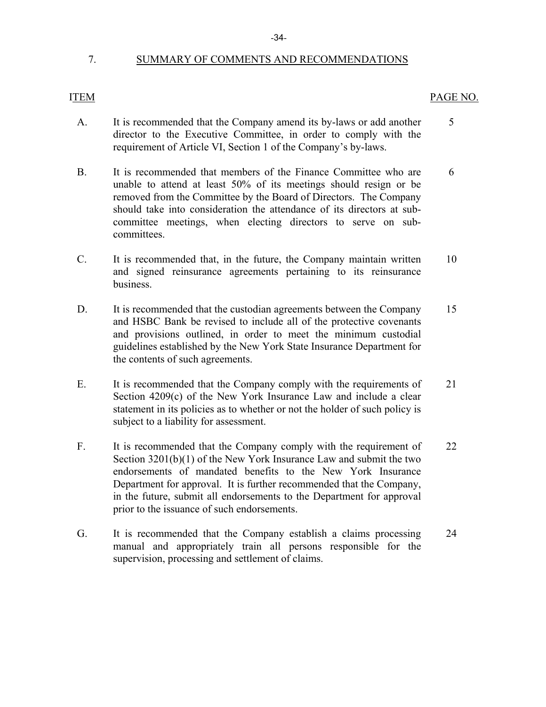### 7. SUMMARY OF COMMENTS AND RECOMMENDATIONS

#### ITEM

### PAGE NO.

- A. It is recommended that the Company amend its by-laws or add another 5 director to the Executive Committee, in order to comply with the requirement of Article VI, Section 1 of the Company's by-laws.
- B. It is recommended that members of the Finance Committee who are 6 unable to attend at least 50% of its meetings should resign or be removed from the Committee by the Board of Directors. The Company should take into consideration the attendance of its directors at subcommittee meetings, when electing directors to serve on subcommittees.
- C. It is recommended that, in the future, the Company maintain written 10 and signed reinsurance agreements pertaining to its reinsurance business.
- D. It is recommended that the custodian agreements between the Company 15 and HSBC Bank be revised to include all of the protective covenants and provisions outlined, in order to meet the minimum custodial guidelines established by the New York State Insurance Department for the contents of such agreements.
- E. It is recommended that the Company comply with the requirements of 21 Section 4209(c) of the New York Insurance Law and include a clear statement in its policies as to whether or not the holder of such policy is subject to a liability for assessment.
- F. It is recommended that the Company comply with the requirement of 22 Section 3201(b)(1) of the New York Insurance Law and submit the two endorsements of mandated benefits to the New York Insurance Department for approval. It is further recommended that the Company, in the future, submit all endorsements to the Department for approval prior to the issuance of such endorsements.
- G. It is recommended that the Company establish a claims processing 24 manual and appropriately train all persons responsible for the supervision, processing and settlement of claims.

#### -34-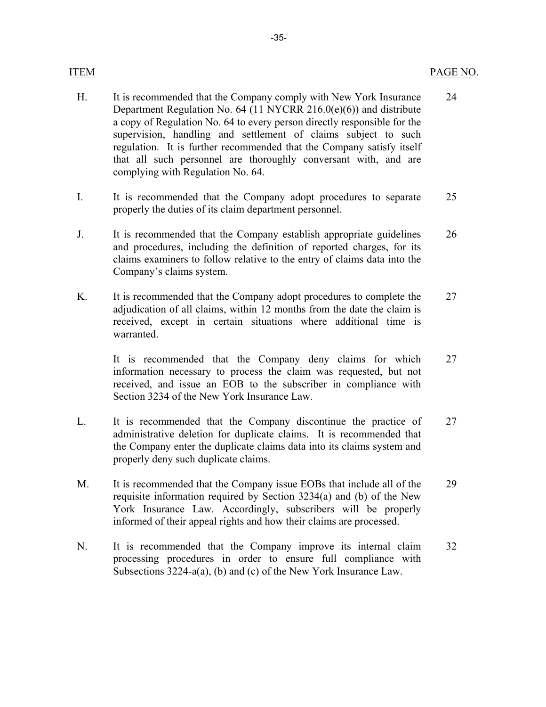#### PAGE NO.

- H. It is recommended that the Company comply with New York Insurance Department Regulation No. 64 (11 NYCRR 216.0(e)(6)) and distribute a copy of Regulation No. 64 to every person directly responsible for the supervision, handling and settlement of claims subject to such regulation. It is further recommended that the Company satisfy itself that all such personnel are thoroughly conversant with, and are complying with Regulation No. 64. 24
- I. It is recommended that the Company adopt procedures to separate properly the duties of its claim department personnel. 25
- J. It is recommended that the Company establish appropriate guidelines and procedures, including the definition of reported charges, for its claims examiners to follow relative to the entry of claims data into the Company's claims system. 26
- K. It is recommended that the Company adopt procedures to complete the adjudication of all claims, within 12 months from the date the claim is received, except in certain situations where additional time is warranted. 27

It is recommended that the Company deny claims for which information necessary to process the claim was requested, but not received, and issue an EOB to the subscriber in compliance with Section 3234 of the New York Insurance Law. 27

- L. It is recommended that the Company discontinue the practice of administrative deletion for duplicate claims. It is recommended that the Company enter the duplicate claims data into its claims system and properly deny such duplicate claims. 27
- M. It is recommended that the Company issue EOBs that include all of the requisite information required by Section 3234(a) and (b) of the New York Insurance Law. Accordingly, subscribers will be properly informed of their appeal rights and how their claims are processed. 29
- N. It is recommended that the Company improve its internal claim processing procedures in order to ensure full compliance with Subsections 3224-a(a), (b) and (c) of the New York Insurance Law. 32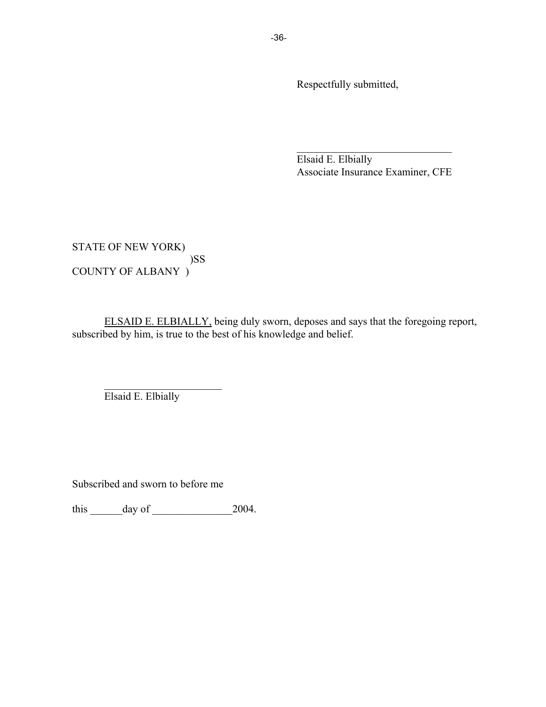Respectfully submitted,

Elsaid E. Elbially Associate Insurance Examiner, CFE

 $\mathcal{L}_\text{max}$  , where  $\mathcal{L}_\text{max}$  and  $\mathcal{L}_\text{max}$  and  $\mathcal{L}_\text{max}$ 

STATE OF NEW YORK) )SS COUNTY OF ALBANY )

ELSAID E. ELBIALLY, being duly sworn, deposes and says that the foregoing report, subscribed by him, is true to the best of his knowledge and belief.

Elsaid E. Elbially

 $\mathcal{L}_\text{max}$  , where  $\mathcal{L}_\text{max}$  , we have the set of  $\mathcal{L}_\text{max}$ 

Subscribed and sworn to before me

this  $\frac{day \text{ of } 2004.}{}$